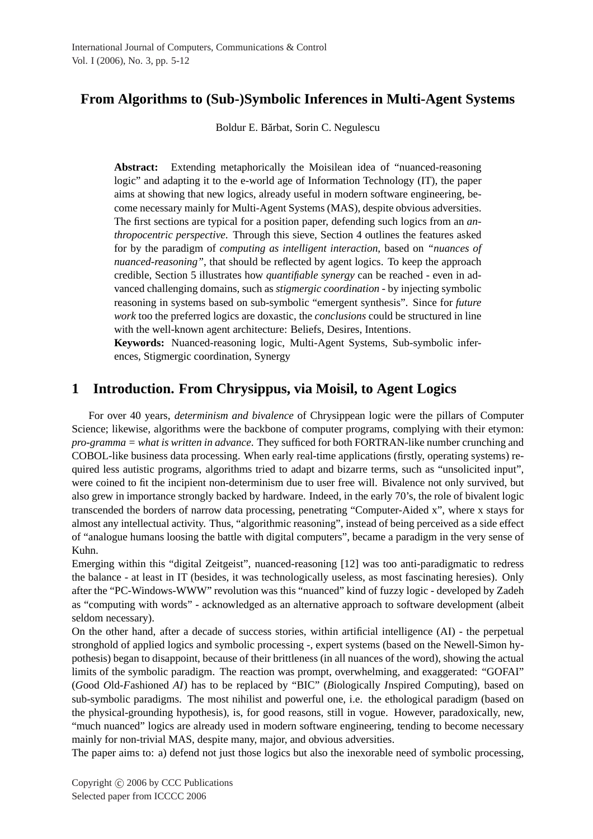# **From Algorithms to (Sub-)Symbolic Inferences in Multi-Agent Systems**

Boldur E. Bărbat, Sorin C. Negulescu

**Abstract:** Extending metaphorically the Moisilean idea of "nuanced-reasoning logic" and adapting it to the e-world age of Information Technology (IT), the paper aims at showing that new logics, already useful in modern software engineering, become necessary mainly for Multi-Agent Systems (MAS), despite obvious adversities. The first sections are typical for a position paper, defending such logics from an *anthropocentric perspective*. Through this sieve, Section 4 outlines the features asked for by the paradigm of *computing as intelligent interaction*, based on *"nuances of nuanced-reasoning"*, that should be reflected by agent logics. To keep the approach credible, Section 5 illustrates how *quantifiable synergy* can be reached - even in advanced challenging domains, such as *stigmergic coordination* - by injecting symbolic reasoning in systems based on sub-symbolic "emergent synthesis". Since for *future work* too the preferred logics are doxastic, the *conclusions* could be structured in line with the well-known agent architecture: Beliefs, Desires, Intentions.

**Keywords:** Nuanced-reasoning logic, Multi-Agent Systems, Sub-symbolic inferences, Stigmergic coordination, Synergy

# **1 Introduction. From Chrysippus, via Moisil, to Agent Logics**

For over 40 years, *determinism and bivalence* of Chrysippean logic were the pillars of Computer Science; likewise, algorithms were the backbone of computer programs, complying with their etymon: *pro-gramma = what is written in advance*. They sufficed for both FORTRAN-like number crunching and COBOL-like business data processing. When early real-time applications (firstly, operating systems) required less autistic programs, algorithms tried to adapt and bizarre terms, such as "unsolicited input", were coined to fit the incipient non-determinism due to user free will. Bivalence not only survived, but also grew in importance strongly backed by hardware. Indeed, in the early 70's, the role of bivalent logic transcended the borders of narrow data processing, penetrating "Computer-Aided x", where x stays for almost any intellectual activity. Thus, "algorithmic reasoning", instead of being perceived as a side effect of "analogue humans loosing the battle with digital computers", became a paradigm in the very sense of Kuhn.

Emerging within this "digital Zeitgeist", nuanced-reasoning [12] was too anti-paradigmatic to redress the balance - at least in IT (besides, it was technologically useless, as most fascinating heresies). Only after the "PC-Windows-WWW" revolution was this "nuanced" kind of fuzzy logic - developed by Zadeh as "computing with words" - acknowledged as an alternative approach to software development (albeit seldom necessary).

On the other hand, after a decade of success stories, within artificial intelligence (AI) - the perpetual stronghold of applied logics and symbolic processing -, expert systems (based on the Newell-Simon hypothesis) began to disappoint, because of their brittleness (in all nuances of the word), showing the actual limits of the symbolic paradigm. The reaction was prompt, overwhelming, and exaggerated: "GOFAI" (*G*ood *O*ld-*F*ashioned *AI*) has to be replaced by "BIC" (*B*iologically *I*nspired *C*omputing), based on sub-symbolic paradigms. The most nihilist and powerful one, i.e. the ethological paradigm (based on the physical-grounding hypothesis), is, for good reasons, still in vogue. However, paradoxically, new, "much nuanced" logics are already used in modern software engineering, tending to become necessary mainly for non-trivial MAS, despite many, major, and obvious adversities.

The paper aims to: a) defend not just those logics but also the inexorable need of symbolic processing,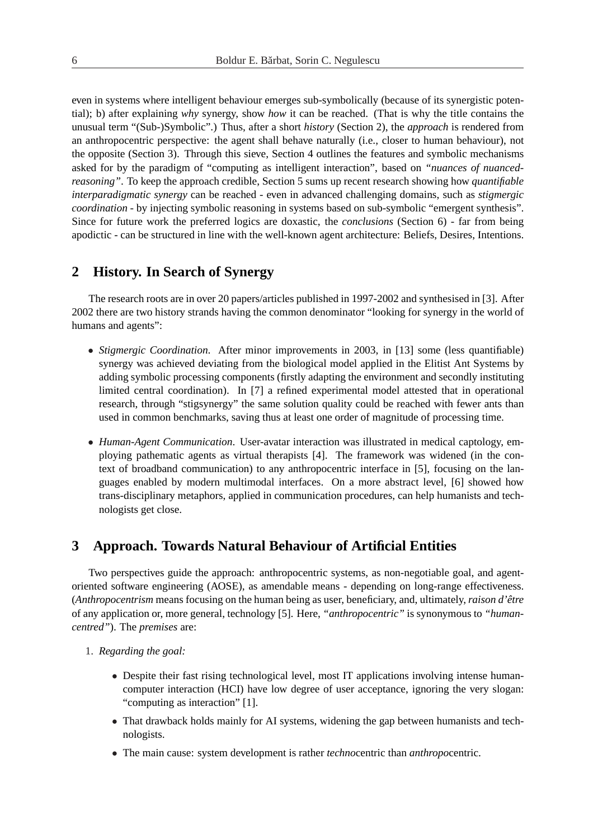even in systems where intelligent behaviour emerges sub-symbolically (because of its synergistic potential); b) after explaining *why* synergy, show *how* it can be reached. (That is why the title contains the unusual term "(Sub-)Symbolic".) Thus, after a short *history* (Section 2), the *approach* is rendered from an anthropocentric perspective: the agent shall behave naturally (i.e., closer to human behaviour), not the opposite (Section 3). Through this sieve, Section 4 outlines the features and symbolic mechanisms asked for by the paradigm of "computing as intelligent interaction", based on *"nuances of nuancedreasoning"*. To keep the approach credible, Section 5 sums up recent research showing how *quantifiable interparadigmatic synergy* can be reached - even in advanced challenging domains, such as *stigmergic coordination* - by injecting symbolic reasoning in systems based on sub-symbolic "emergent synthesis". Since for future work the preferred logics are doxastic, the *conclusions* (Section 6) - far from being apodictic - can be structured in line with the well-known agent architecture: Beliefs, Desires, Intentions.

## **2 History. In Search of Synergy**

The research roots are in over 20 papers/articles published in 1997-2002 and synthesised in [3]. After 2002 there are two history strands having the common denominator "looking for synergy in the world of humans and agents":

- *Stigmergic Coordination*. After minor improvements in 2003, in [13] some (less quantifiable) synergy was achieved deviating from the biological model applied in the Elitist Ant Systems by adding symbolic processing components (firstly adapting the environment and secondly instituting limited central coordination). In [7] a refined experimental model attested that in operational research, through "stigsynergy" the same solution quality could be reached with fewer ants than used in common benchmarks, saving thus at least one order of magnitude of processing time.
- *Human-Agent Communication*. User-avatar interaction was illustrated in medical captology, employing pathematic agents as virtual therapists [4]. The framework was widened (in the context of broadband communication) to any anthropocentric interface in [5], focusing on the languages enabled by modern multimodal interfaces. On a more abstract level, [6] showed how trans-disciplinary metaphors, applied in communication procedures, can help humanists and technologists get close.

# **3 Approach. Towards Natural Behaviour of Artificial Entities**

Two perspectives guide the approach: anthropocentric systems, as non-negotiable goal, and agentoriented software engineering (AOSE), as amendable means - depending on long-range effectiveness. (*Anthropocentrism* means focusing on the human being as user, beneficiary, and, ultimately, *raison d'être* of any application or, more general, technology [5]. Here, *"anthropocentric"* is synonymous to *"humancentred"*). The *premises* are:

- 1. *Regarding the goal:*
	- Despite their fast rising technological level, most IT applications involving intense humancomputer interaction (HCI) have low degree of user acceptance, ignoring the very slogan: "computing as interaction" [1].
	- That drawback holds mainly for AI systems, widening the gap between humanists and technologists.
	- The main cause: system development is rather *techno*centric than *anthropo*centric.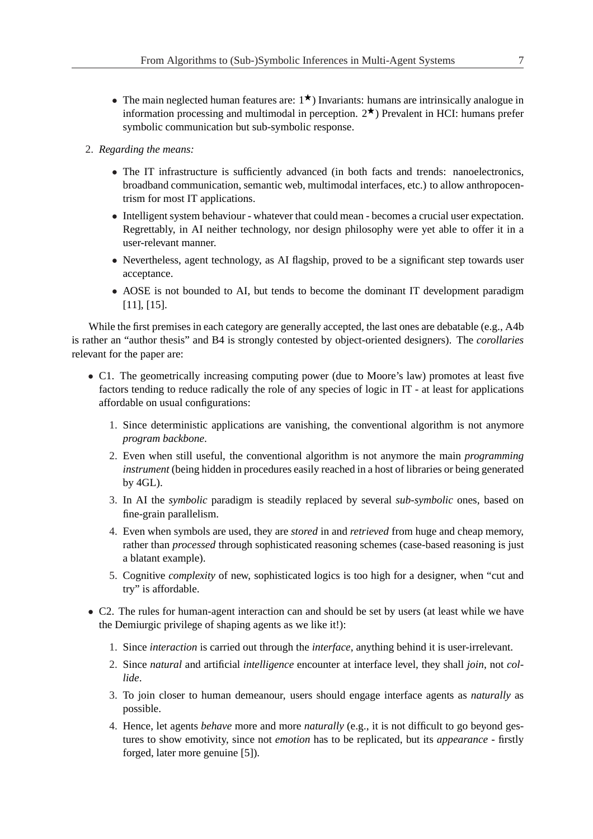- The main neglected human features are:  $1^{\star}$ ) Invariants: humans are intrinsically analogue in information processing and multimodal in perception.  $2^{\star}$ ) Prevalent in HCI: humans prefer symbolic communication but sub-symbolic response.
- 2. *Regarding the means:*
	- The IT infrastructure is sufficiently advanced (in both facts and trends: nanoelectronics, broadband communication, semantic web, multimodal interfaces, etc.) to allow anthropocentrism for most IT applications.
	- Intelligent system behaviour whatever that could mean becomes a crucial user expectation. Regrettably, in AI neither technology, nor design philosophy were yet able to offer it in a user-relevant manner.
	- Nevertheless, agent technology, as AI flagship, proved to be a significant step towards user acceptance.
	- AOSE is not bounded to AI, but tends to become the dominant IT development paradigm [11], [15].

While the first premises in each category are generally accepted, the last ones are debatable (e.g., A4b) is rather an "author thesis" and B4 is strongly contested by object-oriented designers). The *corollaries* relevant for the paper are:

- C1. The geometrically increasing computing power (due to Moore's law) promotes at least five factors tending to reduce radically the role of any species of logic in IT - at least for applications affordable on usual configurations:
	- 1. Since deterministic applications are vanishing, the conventional algorithm is not anymore *program backbone*.
	- 2. Even when still useful, the conventional algorithm is not anymore the main *programming instrument* (being hidden in procedures easily reached in a host of libraries or being generated by 4GL).
	- 3. In AI the *symbolic* paradigm is steadily replaced by several *sub-symbolic* ones, based on fine-grain parallelism.
	- 4. Even when symbols are used, they are *stored* in and *retrieved* from huge and cheap memory, rather than *processed* through sophisticated reasoning schemes (case-based reasoning is just a blatant example).
	- 5. Cognitive *complexity* of new, sophisticated logics is too high for a designer, when "cut and try" is affordable.
- C2. The rules for human-agent interaction can and should be set by users (at least while we have the Demiurgic privilege of shaping agents as we like it!):
	- 1. Since *interaction* is carried out through the *interface*, anything behind it is user-irrelevant.
	- 2. Since *natural* and artificial *intelligence* encounter at interface level, they shall *join*, not *collide*.
	- 3. To join closer to human demeanour, users should engage interface agents as *naturally* as possible.
	- 4. Hence, let agents *behave* more and more *naturally* (e.g., it is not difficult to go beyond gestures to show emotivity, since not *emotion* has to be replicated, but its *appearance* - firstly forged, later more genuine [5]).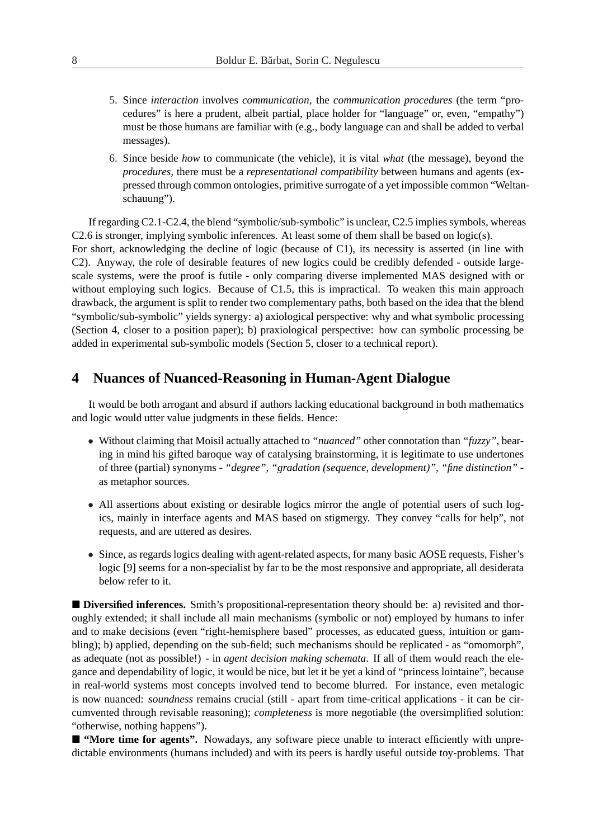- 5. Since *interaction* involves *communication*, the *communication procedures* (the term "procedures" is here a prudent, albeit partial, place holder for "language" or, even, "empathy") must be those humans are familiar with (e.g., body language can and shall be added to verbal messages).
- 6. Since beside *how* to communicate (the vehicle), it is vital *what* (the message), beyond the *procedures*, there must be a *representational compatibility* between humans and agents (expressed through common ontologies, primitive surrogate of a yet impossible common "Weltanschauung").

If regarding C2.1-C2.4, the blend "symbolic/sub-symbolic" is unclear, C2.5 implies symbols, whereas C2.6 is stronger, implying symbolic inferences. At least some of them shall be based on logic(s). For short, acknowledging the decline of logic (because of C1), its necessity is asserted (in line with C2). Anyway, the role of desirable features of new logics could be credibly defended - outside largescale systems, were the proof is futile - only comparing diverse implemented MAS designed with or without employing such logics. Because of C1.5, this is impractical. To weaken this main approach drawback, the argument is split to render two complementary paths, both based on the idea that the blend "symbolic/sub-symbolic" yields synergy: a) axiological perspective: why and what symbolic processing (Section 4, closer to a position paper); b) praxiological perspective: how can symbolic processing be added in experimental sub-symbolic models (Section 5, closer to a technical report).

# **4 Nuances of Nuanced-Reasoning in Human-Agent Dialogue**

It would be both arrogant and absurd if authors lacking educational background in both mathematics and logic would utter value judgments in these fields. Hence:

- Without claiming that Moisil actually attached to *"nuanced"* other connotation than *"fuzzy"*, bearing in mind his gifted baroque way of catalysing brainstorming, it is legitimate to use undertones of three (partial) synonyms - *"degree"*, *"gradation (sequence, development)"*, *"fine distinction"* as metaphor sources.
- All assertions about existing or desirable logics mirror the angle of potential users of such logics, mainly in interface agents and MAS based on stigmergy. They convey "calls for help", not requests, and are uttered as desires.
- Since, as regards logics dealing with agent-related aspects, for many basic AOSE requests, Fisher's logic [9] seems for a non-specialist by far to be the most responsive and appropriate, all desiderata below refer to it.

■ **Diversified inferences.** Smith's propositional-representation theory should be: a) revisited and thoroughly extended; it shall include all main mechanisms (symbolic or not) employed by humans to infer and to make decisions (even "right-hemisphere based" processes, as educated guess, intuition or gambling); b) applied, depending on the sub-field; such mechanisms should be replicated - as "omomorph", as adequate (not as possible!) - in *agent decision making schemata*. If all of them would reach the elegance and dependability of logic, it would be nice, but let it be yet a kind of "princess lointaine", because in real-world systems most concepts involved tend to become blurred. For instance, even metalogic is now nuanced: *soundness* remains crucial (still - apart from time-critical applications - it can be circumvented through revisable reasoning); *completeness* is more negotiable (the oversimplified solution: "otherwise, nothing happens").

■ "More time for agents". Nowadays, any software piece unable to interact efficiently with unpredictable environments (humans included) and with its peers is hardly useful outside toy-problems. That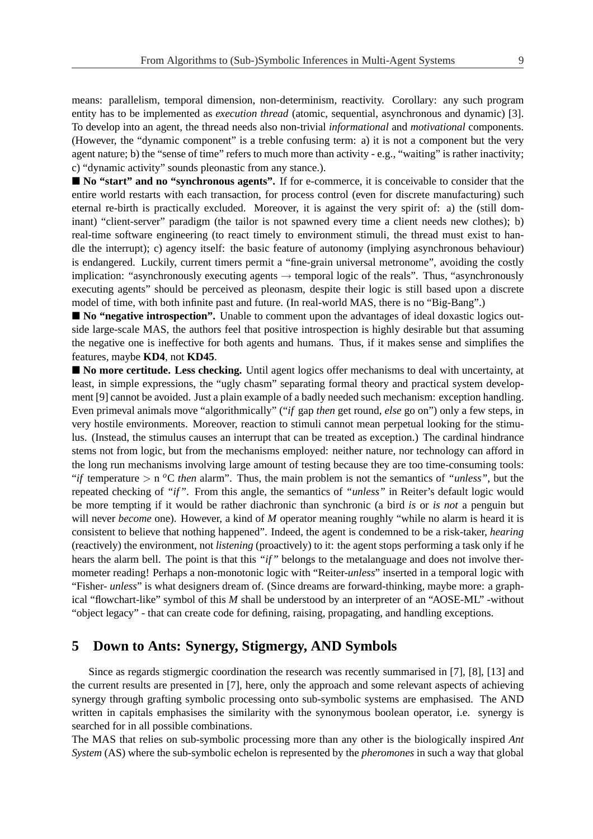means: parallelism, temporal dimension, non-determinism, reactivity. Corollary: any such program entity has to be implemented as *execution thread* (atomic, sequential, asynchronous and dynamic) [3]. To develop into an agent, the thread needs also non-trivial *informational* and *motivational* components. (However, the "dynamic component" is a treble confusing term: a) it is not a component but the very agent nature; b) the "sense of time" refers to much more than activity - e.g., "waiting" is rather inactivity; c) "dynamic activity" sounds pleonastic from any stance.).

■ No "start" and no "synchronous agents". If for e-commerce, it is conceivable to consider that the entire world restarts with each transaction, for process control (even for discrete manufacturing) such eternal re-birth is practically excluded. Moreover, it is against the very spirit of: a) the (still dominant) "client-server" paradigm (the tailor is not spawned every time a client needs new clothes); b) real-time software engineering (to react timely to environment stimuli, the thread must exist to handle the interrupt); c) agency itself: the basic feature of autonomy (implying asynchronous behaviour) is endangered. Luckily, current timers permit a "fine-grain universal metronome", avoiding the costly implication: "asynchronously executing agents  $\rightarrow$  temporal logic of the reals". Thus, "asynchronously executing agents" should be perceived as pleonasm, despite their logic is still based upon a discrete model of time, with both infinite past and future. (In real-world MAS, there is no "Big-Bang".)

■ **No "negative introspection".** Unable to comment upon the advantages of ideal doxastic logics outside large-scale MAS, the authors feel that positive introspection is highly desirable but that assuming the negative one is ineffective for both agents and humans. Thus, if it makes sense and simplifies the features, maybe **KD4**, not **KD45**.

■ **No more certitude. Less checking.** Until agent logics offer mechanisms to deal with uncertainty, at least, in simple expressions, the "ugly chasm" separating formal theory and practical system development [9] cannot be avoided. Just a plain example of a badly needed such mechanism: exception handling. Even primeval animals move "algorithmically" ("*if* gap *then* get round, *else* go on") only a few steps, in very hostile environments. Moreover, reaction to stimuli cannot mean perpetual looking for the stimulus. (Instead, the stimulus causes an interrupt that can be treated as exception.) The cardinal hindrance stems not from logic, but from the mechanisms employed: neither nature, nor technology can afford in the long run mechanisms involving large amount of testing because they are too time-consuming tools: "*if* temperature > n *<sup>o</sup>*C *then* alarm". Thus, the main problem is not the semantics of *"unless"*, but the repeated checking of *"if"*. From this angle, the semantics of *"unless"* in Reiter's default logic would be more tempting if it would be rather diachronic than synchronic (a bird *is* or *is not* a penguin but will never *become* one). However, a kind of *M* operator meaning roughly "while no alarm is heard it is consistent to believe that nothing happened". Indeed, the agent is condemned to be a risk-taker, *hearing* (reactively) the environment, not *listening* (proactively) to it: the agent stops performing a task only if he hears the alarm bell. The point is that this *"if"* belongs to the metalanguage and does not involve thermometer reading! Perhaps a non-monotonic logic with "Reiter-*unless*" inserted in a temporal logic with "Fisher- *unless*" is what designers dream of. (Since dreams are forward-thinking, maybe more: a graphical "flowchart-like" symbol of this *M* shall be understood by an interpreter of an "AOSE-ML" -without "object legacy" - that can create code for defining, raising, propagating, and handling exceptions.

# **5 Down to Ants: Synergy, Stigmergy, AND Symbols**

Since as regards stigmergic coordination the research was recently summarised in [7], [8], [13] and the current results are presented in [7], here, only the approach and some relevant aspects of achieving synergy through grafting symbolic processing onto sub-symbolic systems are emphasised. The AND written in capitals emphasises the similarity with the synonymous boolean operator, i.e. synergy is searched for in all possible combinations.

The MAS that relies on sub-symbolic processing more than any other is the biologically inspired *Ant System* (AS) where the sub-symbolic echelon is represented by the *pheromones* in such a way that global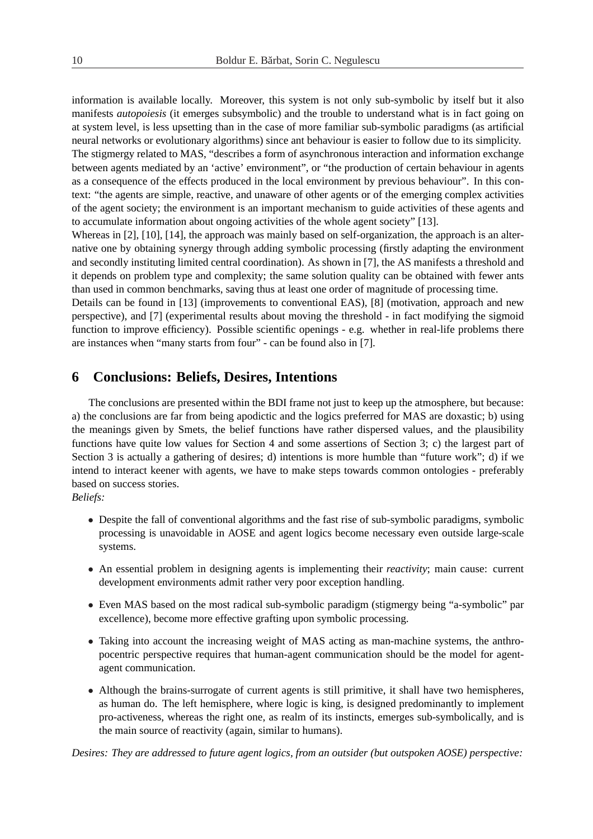information is available locally. Moreover, this system is not only sub-symbolic by itself but it also manifests *autopoiesis* (it emerges subsymbolic) and the trouble to understand what is in fact going on at system level, is less upsetting than in the case of more familiar sub-symbolic paradigms (as artificial neural networks or evolutionary algorithms) since ant behaviour is easier to follow due to its simplicity. The stigmergy related to MAS, "describes a form of asynchronous interaction and information exchange between agents mediated by an 'active' environment", or "the production of certain behaviour in agents

as a consequence of the effects produced in the local environment by previous behaviour". In this context: "the agents are simple, reactive, and unaware of other agents or of the emerging complex activities of the agent society; the environment is an important mechanism to guide activities of these agents and to accumulate information about ongoing activities of the whole agent society" [13].

Whereas in [2], [10], [14], the approach was mainly based on self-organization, the approach is an alternative one by obtaining synergy through adding symbolic processing (firstly adapting the environment and secondly instituting limited central coordination). As shown in [7], the AS manifests a threshold and it depends on problem type and complexity; the same solution quality can be obtained with fewer ants than used in common benchmarks, saving thus at least one order of magnitude of processing time.

Details can be found in [13] (improvements to conventional EAS), [8] (motivation, approach and new perspective), and [7] (experimental results about moving the threshold - in fact modifying the sigmoid function to improve efficiency). Possible scientific openings - e.g. whether in real-life problems there are instances when "many starts from four" - can be found also in [7].

## **6 Conclusions: Beliefs, Desires, Intentions**

The conclusions are presented within the BDI frame not just to keep up the atmosphere, but because: a) the conclusions are far from being apodictic and the logics preferred for MAS are doxastic; b) using the meanings given by Smets, the belief functions have rather dispersed values, and the plausibility functions have quite low values for Section 4 and some assertions of Section 3; c) the largest part of Section 3 is actually a gathering of desires; d) intentions is more humble than "future work"; d) if we intend to interact keener with agents, we have to make steps towards common ontologies - preferably based on success stories.

#### *Beliefs:*

- Despite the fall of conventional algorithms and the fast rise of sub-symbolic paradigms, symbolic processing is unavoidable in AOSE and agent logics become necessary even outside large-scale systems.
- An essential problem in designing agents is implementing their *reactivity*; main cause: current development environments admit rather very poor exception handling.
- Even MAS based on the most radical sub-symbolic paradigm (stigmergy being "a-symbolic" par excellence), become more effective grafting upon symbolic processing.
- Taking into account the increasing weight of MAS acting as man-machine systems, the anthropocentric perspective requires that human-agent communication should be the model for agentagent communication.
- Although the brains-surrogate of current agents is still primitive, it shall have two hemispheres, as human do. The left hemisphere, where logic is king, is designed predominantly to implement pro-activeness, whereas the right one, as realm of its instincts, emerges sub-symbolically, and is the main source of reactivity (again, similar to humans).

*Desires: They are addressed to future agent logics, from an outsider (but outspoken AOSE) perspective:*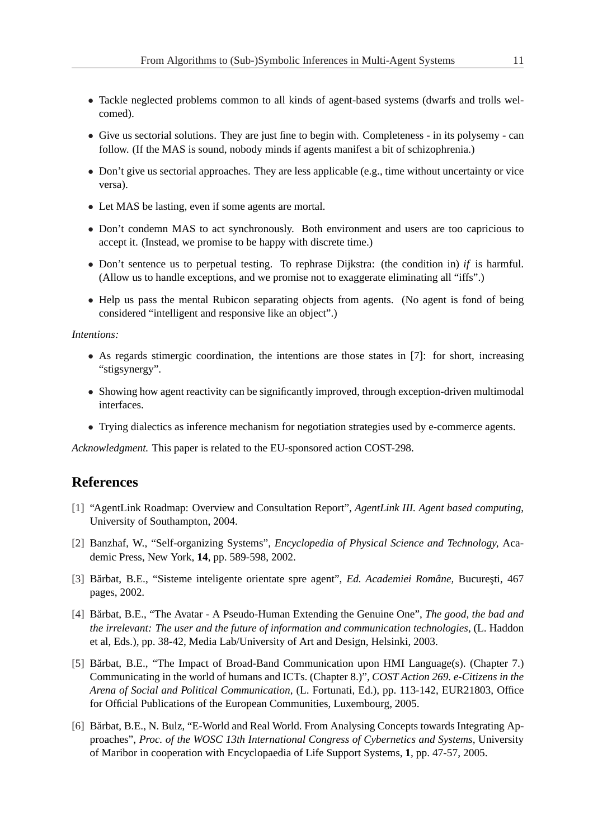- Tackle neglected problems common to all kinds of agent-based systems (dwarfs and trolls welcomed).
- Give us sectorial solutions. They are just fine to begin with. Completeness in its polysemy can follow. (If the MAS is sound, nobody minds if agents manifest a bit of schizophrenia.)
- Don't give us sectorial approaches. They are less applicable (e.g., time without uncertainty or vice versa).
- Let MAS be lasting, even if some agents are mortal.
- Don't condemn MAS to act synchronously. Both environment and users are too capricious to accept it. (Instead, we promise to be happy with discrete time.)
- Don't sentence us to perpetual testing. To rephrase Dijkstra: (the condition in) *if* is harmful. (Allow us to handle exceptions, and we promise not to exaggerate eliminating all "iffs".)
- Help us pass the mental Rubicon separating objects from agents. (No agent is fond of being considered "intelligent and responsive like an object".)

#### *Intentions:*

- As regards stimergic coordination, the intentions are those states in [7]: for short, increasing "stigsynergy".
- Showing how agent reactivity can be significantly improved, through exception-driven multimodal interfaces.
- Trying dialectics as inference mechanism for negotiation strategies used by e-commerce agents.

*Acknowledgment.* This paper is related to the EU-sponsored action COST-298.

## **References**

- [1] "AgentLink Roadmap: Overview and Consultation Report", *AgentLink III. Agent based computing*, University of Southampton, 2004.
- [2] Banzhaf, W., "Self-organizing Systems", *Encyclopedia of Physical Science and Technology,* Academic Press, New York, **14**, pp. 589-598, 2002.
- [3] Bărbat, B.E., "Sisteme inteligente orientate spre agent", *Ed. Academiei Române*, București, 467 pages, 2002.
- [4] Bărbat, B.E., "The Avatar A Pseudo-Human Extending the Genuine One", *The good, the bad and the irrelevant: The user and the future of information and communication technologies,* (L. Haddon et al, Eds.), pp. 38-42, Media Lab/University of Art and Design, Helsinki, 2003.
- [5] Bărbat, B.E., "The Impact of Broad-Band Communication upon HMI Language(s). (Chapter 7.) Communicating in the world of humans and ICTs. (Chapter 8.)", *COST Action 269. e-Citizens in the Arena of Social and Political Communication,* (L. Fortunati, Ed.), pp. 113-142, EUR21803, Office for Official Publications of the European Communities, Luxembourg, 2005.
- [6] Bărbat, B.E., N. Bulz, "E-World and Real World. From Analysing Concepts towards Integrating Approaches", *Proc. of the WOSC 13th International Congress of Cybernetics and Systems,* University of Maribor in cooperation with Encyclopaedia of Life Support Systems, **1**, pp. 47-57, 2005.